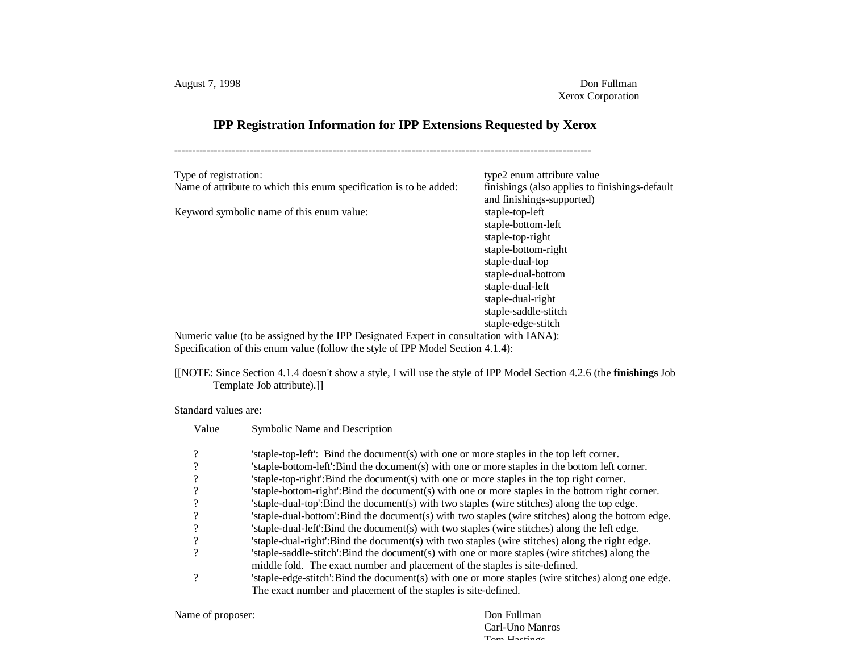## **IPP Registration Information for IPP Extensions Requested by Xerox**

--------------------------------------------------------------------------------------------------------------------

| Type of registration:                                                                  | type2 enum attribute value                                                  |
|----------------------------------------------------------------------------------------|-----------------------------------------------------------------------------|
| Name of attribute to which this enum specification is to be added:                     | finishings (also applies to finishings-default<br>and finishings-supported) |
| Keyword symbolic name of this enum value:                                              | staple-top-left                                                             |
|                                                                                        | staple-bottom-left                                                          |
|                                                                                        | staple-top-right                                                            |
|                                                                                        | staple-bottom-right                                                         |
|                                                                                        | staple-dual-top                                                             |
|                                                                                        | staple-dual-bottom                                                          |
|                                                                                        | staple-dual-left                                                            |
|                                                                                        | staple-dual-right                                                           |
|                                                                                        | staple-saddle-stitch                                                        |
|                                                                                        | staple-edge-stitch                                                          |
| Numeric value (to be assigned by the IPP Designated Expert in consultation with IANA): |                                                                             |

Specification of this enum value (follow the style of IPP Model Section 4.1.4):

[[NOTE: Since Section 4.1.4 doesn't show a style, I will use the style of IPP Model Section 4.2.6 (the **finishings** Job Template Job attribute).]]

Standard values are:

| Value                    | Symbolic Name and Description                                                                      |
|--------------------------|----------------------------------------------------------------------------------------------------|
| $\gamma$                 | staple-top-left': Bind the document(s) with one or more staples in the top left corner.            |
|                          | 'staple-bottom-left':Bind the document(s) with one or more staples in the bottom left corner.      |
|                          | 'staple-top-right':Bind the document(s) with one or more staples in the top right corner.          |
|                          | 'staple-bottom-right':Bind the document(s) with one or more staples in the bottom right corner.    |
| $\overline{\mathcal{L}}$ | staple-dual-top':Bind the document(s) with two staples (wire stitches) along the top edge.         |
|                          | 'staple-dual-bottom':Bind the document(s) with two staples (wire stitches) along the bottom edge.  |
| $\gamma$                 | 'staple-dual-left':Bind the document(s) with two staples (wire stitches) along the left edge.      |
|                          | 'staple-dual-right':Bind the document(s) with two staples (wire stitches) along the right edge.    |
|                          | staple-saddle-stitch: Bind the document(s) with one or more staples (wire stitches) along the      |
|                          | middle fold. The exact number and placement of the staples is site-defined.                        |
| ?                        | 'staple-edge-stitch':Bind the document(s) with one or more staples (wire stitches) along one edge. |
|                          | The exact number and placement of the staples is site-defined.                                     |

Name of proposer: Don Fullman

Carl-Uno Manros Tom Hastings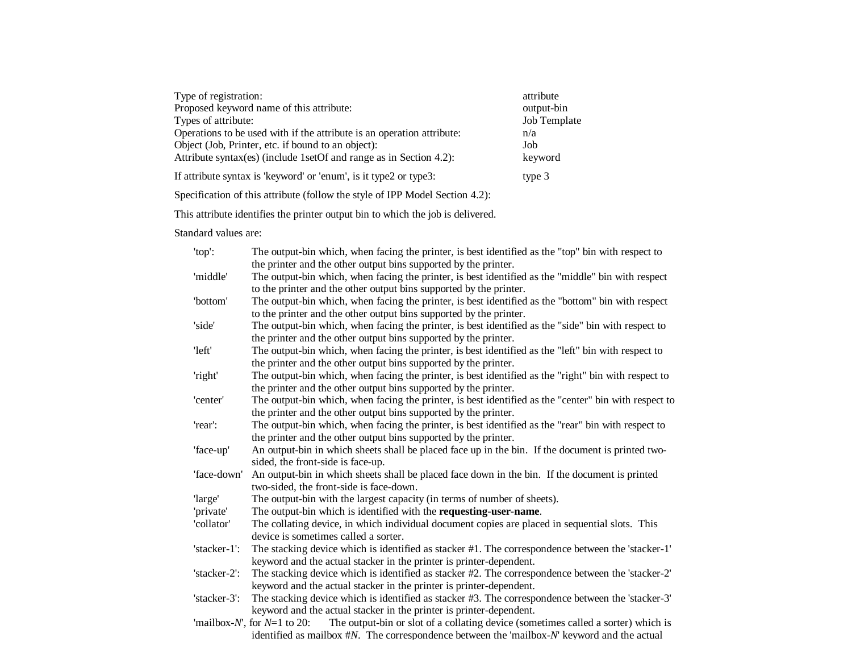| Type of registration:                                                  | attribute    |
|------------------------------------------------------------------------|--------------|
| Proposed keyword name of this attribute:                               | output-bin   |
| Types of attribute:                                                    | Job Template |
| Operations to be used with if the attribute is an operation attribute: | n/a          |
| Object (Job, Printer, etc. if bound to an object):                     | Job          |
| Attribute syntax(es) (include 1setOf and range as in Section 4.2):     | keyword      |
| If attribute syntax is 'keyword' or 'enum', is it type2 or type3:      | type 3       |

Specification of this attribute (follow the style of IPP Model Section 4.2):

This attribute identifies the printer output bin to which the job is delivered.

Standard values are:

| 'top':       | The output-bin which, when facing the printer, is best identified as the "top" bin with respect to                     |
|--------------|------------------------------------------------------------------------------------------------------------------------|
|              | the printer and the other output bins supported by the printer.                                                        |
| 'middle'     | The output-bin which, when facing the printer, is best identified as the "middle" bin with respect                     |
|              | to the printer and the other output bins supported by the printer.                                                     |
| 'bottom'     | The output-bin which, when facing the printer, is best identified as the "bottom" bin with respect                     |
|              | to the printer and the other output bins supported by the printer.                                                     |
| 'side'       | The output-bin which, when facing the printer, is best identified as the "side" bin with respect to                    |
|              | the printer and the other output bins supported by the printer.                                                        |
| 'left'       | The output-bin which, when facing the printer, is best identified as the "left" bin with respect to                    |
|              | the printer and the other output bins supported by the printer.                                                        |
| 'right'      | The output-bin which, when facing the printer, is best identified as the "right" bin with respect to                   |
|              | the printer and the other output bins supported by the printer.                                                        |
| 'center'     | The output-bin which, when facing the printer, is best identified as the "center" bin with respect to                  |
|              | the printer and the other output bins supported by the printer.                                                        |
| 'rear':      | The output-bin which, when facing the printer, is best identified as the "rear" bin with respect to                    |
|              | the printer and the other output bins supported by the printer.                                                        |
| 'face-up'    | An output-bin in which sheets shall be placed face up in the bin. If the document is printed two-                      |
|              | sided, the front-side is face-up.                                                                                      |
| 'face-down'  | An output-bin in which sheets shall be placed face down in the bin. If the document is printed                         |
|              | two-sided, the front-side is face-down.                                                                                |
| 'large'      | The output-bin with the largest capacity (in terms of number of sheets).                                               |
| 'private'    | The output-bin which is identified with the requesting-user-name.                                                      |
| 'collator'   | The collating device, in which individual document copies are placed in sequential slots. This                         |
|              | device is sometimes called a sorter.                                                                                   |
| 'stacker-1': | The stacking device which is identified as stacker #1. The correspondence between the 'stacker-1'                      |
|              | keyword and the actual stacker in the printer is printer-dependent.                                                    |
| 'stacker-2': | The stacking device which is identified as stacker #2. The correspondence between the 'stacker-2'                      |
|              | keyword and the actual stacker in the printer is printer-dependent.                                                    |
| 'stacker-3': | The stacking device which is identified as stacker #3. The correspondence between the 'stacker-3'                      |
|              | keyword and the actual stacker in the printer is printer-dependent.                                                    |
|              | 'mailbox- $N'$ , for $N=1$ to 20:<br>The output-bin or slot of a collating device (sometimes called a sorter) which is |
|              | identified as mailbox $\#N$ . The correspondence between the 'mailbox-N' keyword and the actual                        |